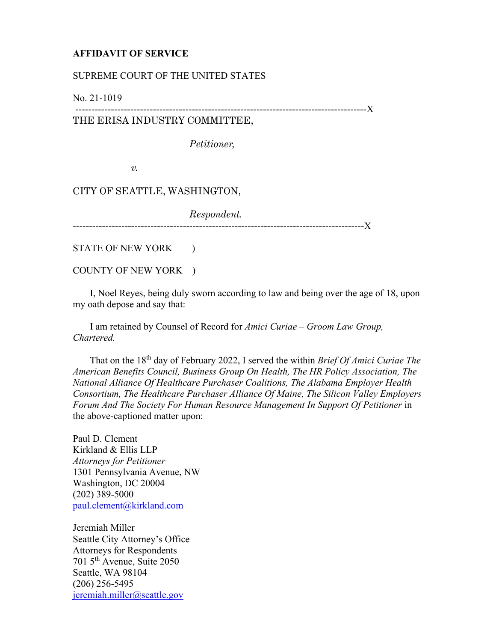# **AFFIDAVIT OF SERVICE**

# SUPREME COURT OF THE UNITED STATES

No. 21-1019

------------------------------------------------------------------------------------------X

# THE ERISA INDUSTRY COMMITTEE,

*Petitioner,*

*v.*

## CITY OF SEATTLE, WASHINGTON,

*Respondent.*

------------------------------------------------------------------------------------------X

STATE OF NEW YORK )

#### COUNTY OF NEW YORK )

 I, Noel Reyes, being duly sworn according to law and being over the age of 18, upon my oath depose and say that:

 I am retained by Counsel of Record for *Amici Curiae – Groom Law Group, Chartered.*

 That on the 18th day of February 2022, I served the within *Brief Of Amici Curiae The American Benefits Council, Business Group On Health, The HR Policy Association, The National Alliance Of Healthcare Purchaser Coalitions, The Alabama Employer Health Consortium, The Healthcare Purchaser Alliance Of Maine, The Silicon Valley Employers Forum And The Society For Human Resource Management In Support Of Petitioner* in the above-captioned matter upon:

Paul D. Clement Kirkland & Ellis LLP *Attorneys for Petitioner* 1301 Pennsylvania Avenue, NW Washington, DC 20004 (202) 389-5000 [paul.clement@kirkland.com](mailto:paul.clement@kirkland.com)

Jeremiah Miller Seattle City Attorney's Office Attorneys for Respondents 701 5th Avenue, Suite 2050 Seattle, WA 98104 (206) 256-5495 [jeremiah.miller@seattle.gov](mailto:jeremiah.miller@seattle.gov)